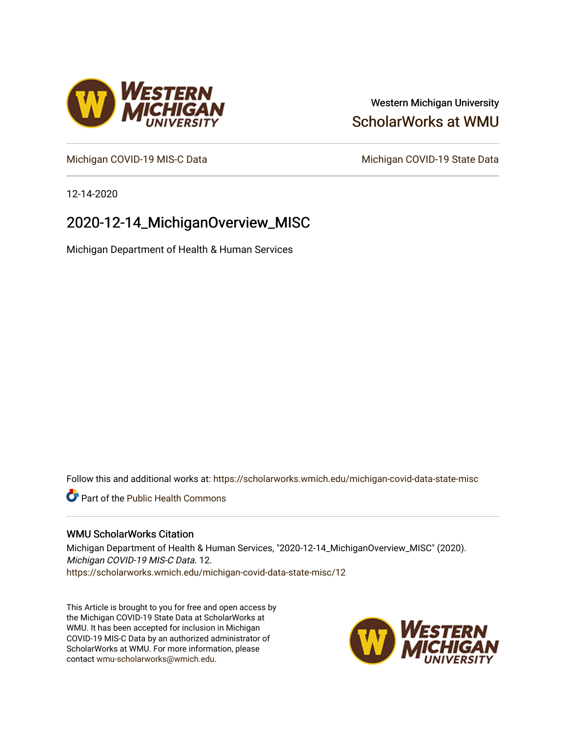### Western Michigan University [ScholarWorks at WMU](https://scholarworks.wmich.edu/)

[Michigan COVID-19 MIS-C Data](https://scholarworks.wmich.edu/michigan-covid-data-state-misc) Michigan COVID-19 State Data

12-14-2020

## 2020-12-14\_MichiganOverview\_MISC

Michigan Department of Health & Human Services

Follow this and additional works at: [https://scholarworks.wmich.edu/michigan-covid-data-state-misc](https://scholarworks.wmich.edu/michigan-covid-data-state-misc?utm_source=scholarworks.wmich.edu%2Fmichigan-covid-data-state-misc%2F12&utm_medium=PDF&utm_campaign=PDFCoverPages) 

**Part of the Public Health Commons** 

#### WMU ScholarWorks Citation

Michigan Department of Health & Human Services, "2020-12-14\_MichiganOverview\_MISC" (2020). Michigan COVID-19 MIS-C Data. 12. [https://scholarworks.wmich.edu/michigan-covid-data-state-misc/12](https://scholarworks.wmich.edu/michigan-covid-data-state-misc/12?utm_source=scholarworks.wmich.edu%2Fmichigan-covid-data-state-misc%2F12&utm_medium=PDF&utm_campaign=PDFCoverPages)

This Article is brought to you for free and open access by the Michigan COVID-19 State Data at ScholarWorks at WMU. It has been accepted for inclusion in Michigan COVID-19 MIS-C Data by an authorized administrator of ScholarWorks at WMU. For more information, please contact [wmu-scholarworks@wmich.edu](mailto:wmu-scholarworks@wmich.edu).